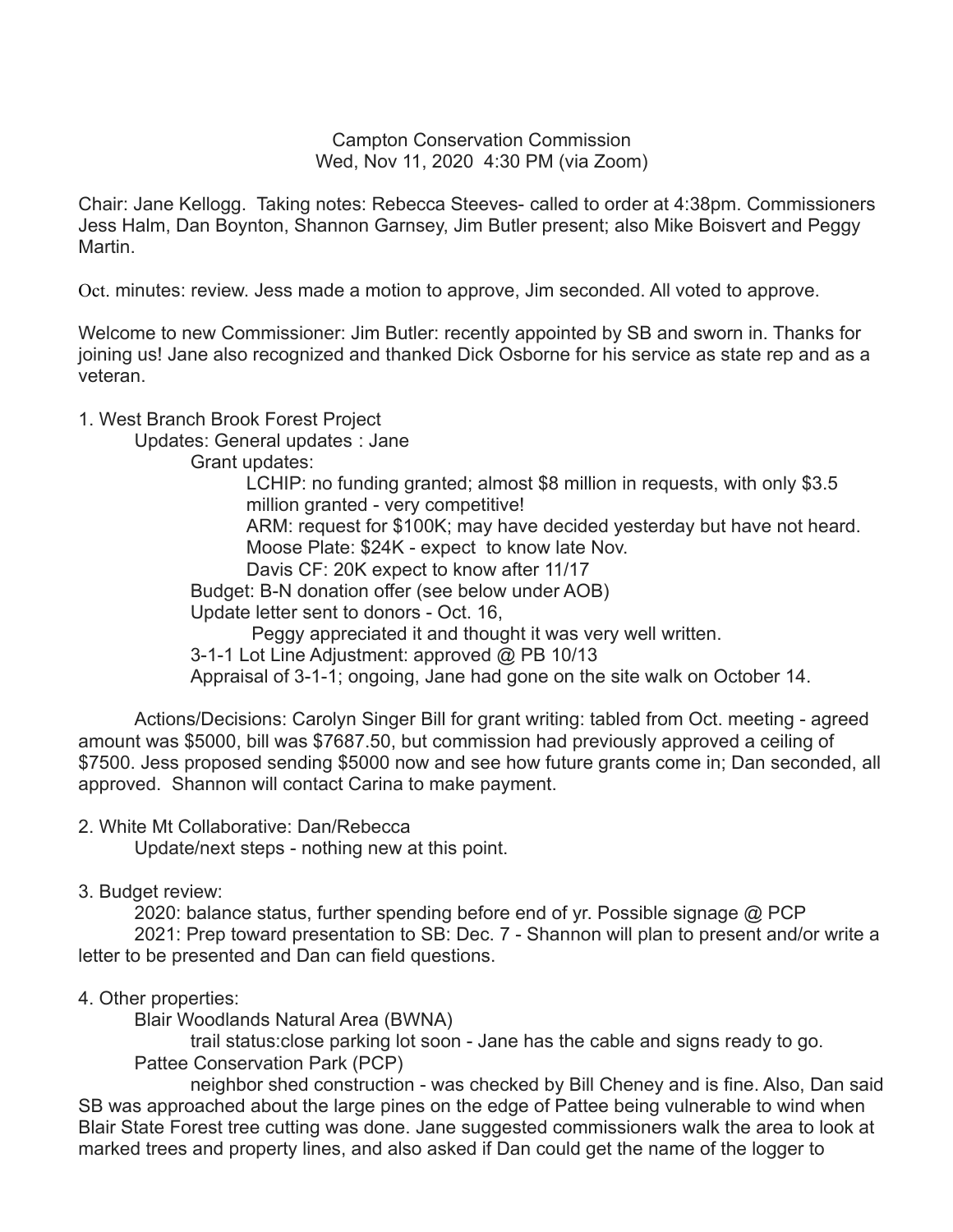Campton Conservation Commission Wed, Nov 11, 2020 4:30 PM (via Zoom)

Chair: Jane Kellogg. Taking notes: Rebecca Steeves- called to order at 4:38pm. Commissioners Jess Halm, Dan Boynton, Shannon Garnsey, Jim Butler present; also Mike Boisvert and Peggy Martin.

Oct. minutes: review. Jess made a motion to approve, Jim seconded. All voted to approve.

Welcome to new Commissioner: Jim Butler: recently appointed by SB and sworn in. Thanks for joining us! Jane also recognized and thanked Dick Osborne for his service as state rep and as a veteran.

# 1. West Branch Brook Forest Project

Updates: General updates : Jane

Grant updates:

LCHIP: no funding granted; almost \$8 million in requests, with only \$3.5 million granted - very competitive! ARM: request for \$100K; may have decided yesterday but have not heard. Moose Plate: \$24K - expect to know late Nov. Davis CF: 20K expect to know after 11/17

Budget: B-N donation offer (see below under AOB)

Update letter sent to donors - Oct. 16,

Peggy appreciated it and thought it was very well written.

3-1-1 Lot Line Adjustment: approved @ PB 10/13

Appraisal of 3-1-1; ongoing, Jane had gone on the site walk on October 14.

Actions/Decisions: Carolyn Singer Bill for grant writing: tabled from Oct. meeting - agreed amount was \$5000, bill was \$7687.50, but commission had previously approved a ceiling of \$7500. Jess proposed sending \$5000 now and see how future grants come in; Dan seconded, all approved. Shannon will contact Carina to make payment.

# 2. White Mt Collaborative: Dan/Rebecca

Update/next steps - nothing new at this point.

# 3. Budget review:

2020: balance status, further spending before end of yr. Possible signage @ PCP 2021: Prep toward presentation to SB: Dec. 7 - Shannon will plan to present and/or write a letter to be presented and Dan can field questions.

# 4. Other properties:

Blair Woodlands Natural Area (BWNA)

trail status:close parking lot soon - Jane has the cable and signs ready to go. Pattee Conservation Park (PCP)

neighbor shed construction - was checked by Bill Cheney and is fine. Also, Dan said SB was approached about the large pines on the edge of Pattee being vulnerable to wind when Blair State Forest tree cutting was done. Jane suggested commissioners walk the area to look at marked trees and property lines, and also asked if Dan could get the name of the logger to